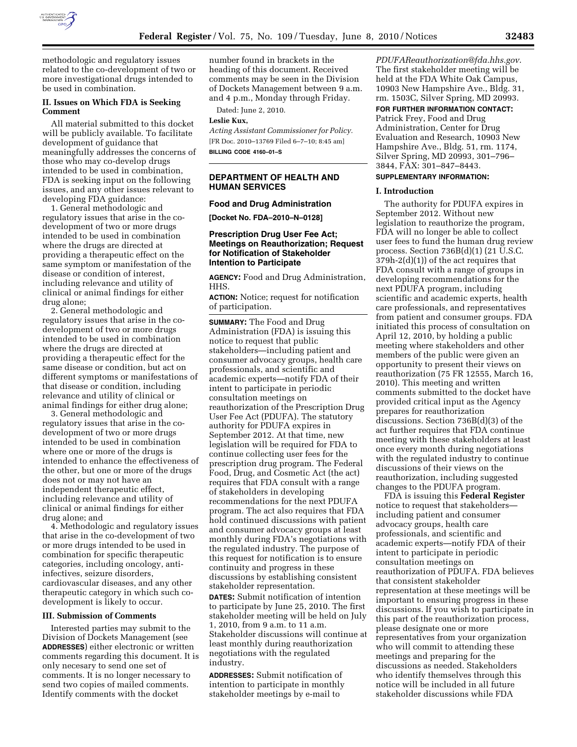

methodologic and regulatory issues related to the co-development of two or more investigational drugs intended to be used in combination.

### **II. Issues on Which FDA is Seeking Comment**

All material submitted to this docket will be publicly available. To facilitate development of guidance that meaningfully addresses the concerns of those who may co-develop drugs intended to be used in combination, FDA is seeking input on the following issues, and any other issues relevant to developing FDA guidance:

1. General methodologic and regulatory issues that arise in the codevelopment of two or more drugs intended to be used in combination where the drugs are directed at providing a therapeutic effect on the same symptom or manifestation of the disease or condition of interest, including relevance and utility of clinical or animal findings for either drug alone;

2. General methodologic and regulatory issues that arise in the codevelopment of two or more drugs intended to be used in combination where the drugs are directed at providing a therapeutic effect for the same disease or condition, but act on different symptoms or manifestations of that disease or condition, including relevance and utility of clinical or animal findings for either drug alone;

3. General methodologic and regulatory issues that arise in the codevelopment of two or more drugs intended to be used in combination where one or more of the drugs is intended to enhance the effectiveness of the other, but one or more of the drugs does not or may not have an independent therapeutic effect, including relevance and utility of clinical or animal findings for either drug alone; and

4. Methodologic and regulatory issues that arise in the co-development of two or more drugs intended to be used in combination for specific therapeutic categories, including oncology, antiinfectives, seizure disorders, cardiovascular diseases, and any other therapeutic category in which such codevelopment is likely to occur.

#### **III. Submission of Comments**

Interested parties may submit to the Division of Dockets Management (see **ADDRESSES**) either electronic or written comments regarding this document. It is only necesary to send one set of comments. It is no longer necessary to send two copies of mailed comments. Identify comments with the docket

number found in brackets in the heading of this document. Received comments may be seen in the Division of Dockets Management between 9 a.m. and 4 p.m., Monday through Friday.

Dated: June 2, 2010. **Leslie Kux,** 

*Acting Assistant Commissioner for Policy.*  [FR Doc. 2010–13769 Filed 6–7–10; 8:45 am] **BILLING CODE 4160–01–S** 

# **DEPARTMENT OF HEALTH AND HUMAN SERVICES**

### **Food and Drug Administration**

**[Docket No. FDA–2010–N–0128]** 

### **Prescription Drug User Fee Act; Meetings on Reauthorization; Request for Notification of Stakeholder Intention to Participate**

**AGENCY:** Food and Drug Administration, HHS.

**ACTION:** Notice; request for notification of participation.

**SUMMARY:** The Food and Drug Administration (FDA) is issuing this notice to request that public stakeholders—including patient and consumer advocacy groups, health care professionals, and scientific and academic experts—notify FDA of their intent to participate in periodic consultation meetings on reauthorization of the Prescription Drug User Fee Act (PDUFA). The statutory authority for PDUFA expires in September 2012. At that time, new legislation will be required for FDA to continue collecting user fees for the prescription drug program. The Federal Food, Drug, and Cosmetic Act (the act) requires that FDA consult with a range of stakeholders in developing recommendations for the next PDUFA program. The act also requires that FDA hold continued discussions with patient and consumer advocacy groups at least monthly during FDA's negotiations with the regulated industry. The purpose of this request for notification is to ensure continuity and progress in these discussions by establishing consistent stakeholder representation.

**DATES:** Submit notification of intention to participate by June 25, 2010. The first stakeholder meeting will be held on July 1, 2010, from 9 a.m. to 11 a.m. Stakeholder discussions will continue at least monthly during reauthorization negotiations with the regulated industry.

**ADDRESSES:** Submit notification of intention to participate in monthly stakeholder meetings by e-mail to

*PDUFAReauthorization@fda.hhs.gov*. The first stakeholder meeting will be held at the FDA White Oak Campus, 10903 New Hampshire Ave., Bldg. 31, rm. 1503C, Silver Spring, MD 20993.

**FOR FURTHER INFORMATION CONTACT:** 

Patrick Frey, Food and Drug Administration, Center for Drug Evaluation and Research, 10903 New Hampshire Ave., Bldg. 51, rm. 1174, Silver Spring, MD 20993, 301–796– 3844, FAX: 301–847–8443.

# **SUPPLEMENTARY INFORMATION:**

### **I. Introduction**

The authority for PDUFA expires in September 2012. Without new legislation to reauthorize the program, FDA will no longer be able to collect user fees to fund the human drug review process. Section 736B(d)(1) (21 U.S.C. 379h-2(d)(1)) of the act requires that FDA consult with a range of groups in developing recommendations for the next PDUFA program, including scientific and academic experts, health care professionals, and representatives from patient and consumer groups. FDA initiated this process of consultation on April 12, 2010, by holding a public meeting where stakeholders and other members of the public were given an opportunity to present their views on reauthorization (75 FR 12555, March 16, 2010). This meeting and written comments submitted to the docket have provided critical input as the Agency prepares for reauthorization discussions. Section 736B(d)(3) of the act further requires that FDA continue meeting with these stakeholders at least once every month during negotiations with the regulated industry to continue discussions of their views on the reauthorization, including suggested changes to the PDUFA program.

FDA is issuing this **Federal Register**  notice to request that stakeholders including patient and consumer advocacy groups, health care professionals, and scientific and academic experts—notify FDA of their intent to participate in periodic consultation meetings on reauthorization of PDUFA. FDA believes that consistent stakeholder representation at these meetings will be important to ensuring progress in these discussions. If you wish to participate in this part of the reauthorization process, please designate one or more representatives from your organization who will commit to attending these meetings and preparing for the discussions as needed. Stakeholders who identify themselves through this notice will be included in all future stakeholder discussions while FDA